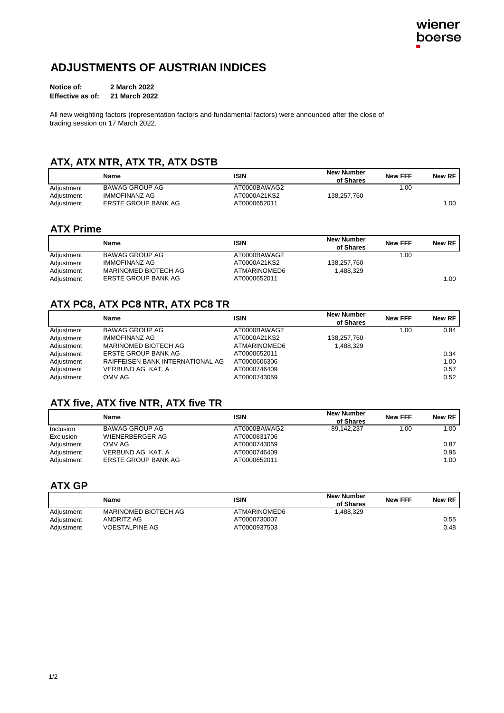## **ADJUSTMENTS OF AUSTRIAN INDICES**

| Notice of:       | 2 March 2022  |  |
|------------------|---------------|--|
| Effective as of: | 21 March 2022 |  |

All new weighting factors (representation factors and fundamental factors) were announced after the close of trading session on 17 March 2022.

## **ATX, ATX NTR, ATX TR, ATX DSTB**

|            | Name                | <b>ISIN</b>  | <b>New Number</b><br>of Shares | <b>New FFF</b> | New RF |
|------------|---------------------|--------------|--------------------------------|----------------|--------|
| Adjustment | BAWAG GROUP AG      | AT0000BAWAG2 |                                | .00            |        |
| Adjustment | IMMOFINANZ AG       | AT0000A21KS2 | 138.257.760                    |                |        |
| Adjustment | ERSTE GROUP BANK AG | AT0000652011 |                                |                | 1.00   |

#### **ATX Prime**

|            | Name                  | <b>ISIN</b>  | <b>New Number</b><br>of Shares | <b>New FFF</b> | New RF |
|------------|-----------------------|--------------|--------------------------------|----------------|--------|
| Adjustment | <b>BAWAG GROUP AG</b> | AT0000BAWAG2 |                                | 1.00           |        |
| Adjustment | IMMOFINANZ AG         | AT0000A21KS2 | 138,257,760                    |                |        |
| Adjustment | MARINOMED BIOTECH AG  | ATMARINOMED6 | 1.488.329                      |                |        |
| Adjustment | ERSTE GROUP BANK AG   | AT0000652011 |                                |                | 1.00   |

## **ATX PC8, ATX PC8 NTR, ATX PC8 TR**

|            | Name                             | <b>ISIN</b>  | <b>New Number</b><br>of Shares | <b>New FFF</b> | New RF |
|------------|----------------------------------|--------------|--------------------------------|----------------|--------|
| Adjustment | <b>BAWAG GROUP AG</b>            | AT0000BAWAG2 |                                | 1.00           | 0.84   |
| Adjustment | <b>IMMOFINANZ AG</b>             | AT0000A21KS2 | 138,257,760                    |                |        |
| Adjustment | MARINOMED BIOTECH AG             | ATMARINOMED6 | 1,488,329                      |                |        |
| Adjustment | ERSTE GROUP BANK AG              | AT0000652011 |                                |                | 0.34   |
| Adjustment | RAIFFEISEN BANK INTERNATIONAL AG | AT0000606306 |                                |                | 1.00   |
| Adjustment | VERBUND AG KAT. A                | AT0000746409 |                                |                | 0.57   |
| Adjustment | OMV AG                           | AT0000743059 |                                |                | 0.52   |

#### **ATX five, ATX five NTR, ATX five TR**

|            | Name                | <b>ISIN</b>  | <b>New Number</b><br>of Shares | <b>New FFF</b> | New RF |
|------------|---------------------|--------------|--------------------------------|----------------|--------|
| Inclusion  | BAWAG GROUP AG      | AT0000BAWAG2 | 89.142.237                     | 1.00           | 1.00   |
| Exclusion  | WIENERBERGER AG     | AT0000831706 |                                |                |        |
| Adjustment | OMV AG              | AT0000743059 |                                |                | 0.87   |
| Adjustment | VERBUND AG KAT. A   | AT0000746409 |                                |                | 0.96   |
| Adjustment | ERSTE GROUP BANK AG | AT0000652011 |                                |                | 1.00   |

#### **ATX GP**

|            | Name                  | <b>ISIN</b>  | <b>New Number</b><br>of Shares | <b>New FFF</b> | New RF |
|------------|-----------------------|--------------|--------------------------------|----------------|--------|
| Adjustment | MARINOMED BIOTECH AG  | ATMARINOMED6 | .488.329                       |                |        |
| Adjustment | ANDRITZ AG            | AT0000730007 |                                |                | 0.55   |
| Adiustment | <b>VOESTALPINE AG</b> | AT0000937503 |                                |                | 0.48   |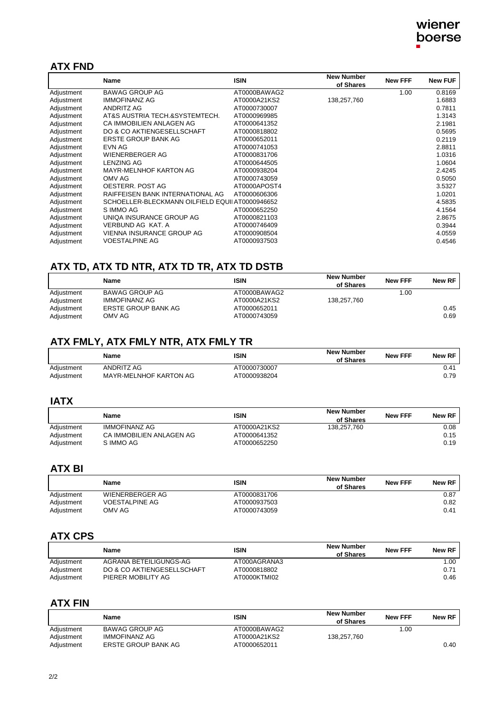### **ATX FND**

|            | Name                                            | <b>ISIN</b>  | <b>New Number</b><br>of Shares | <b>New FFF</b> | <b>New FUF</b> |
|------------|-------------------------------------------------|--------------|--------------------------------|----------------|----------------|
| Adjustment | <b>BAWAG GROUP AG</b>                           | AT0000BAWAG2 |                                | 1.00           | 0.8169         |
| Adjustment | <b>IMMOFINANZ AG</b>                            | AT0000A21KS2 | 138,257,760                    |                | 1.6883         |
| Adjustment | ANDRITZ AG                                      | AT0000730007 |                                |                | 0.7811         |
| Adjustment | AT&S AUSTRIA TECH.&SYSTEMTECH.                  | AT0000969985 |                                |                | 1.3143         |
| Adjustment | CA IMMOBILIEN ANLAGEN AG                        | AT0000641352 |                                |                | 2.1981         |
| Adjustment | DO & CO AKTIENGESELLSCHAFT                      | AT0000818802 |                                |                | 0.5695         |
| Adjustment | <b>ERSTE GROUP BANK AG</b>                      | AT0000652011 |                                |                | 0.2119         |
| Adjustment | EVN AG                                          | AT0000741053 |                                |                | 2.8811         |
| Adjustment | WIENERBERGER AG                                 | AT0000831706 |                                |                | 1.0316         |
| Adjustment | <b>LENZING AG</b>                               | AT0000644505 |                                |                | 1.0604         |
| Adjustment | MAYR-MELNHOF KARTON AG                          | AT0000938204 |                                |                | 2.4245         |
| Adjustment | OMV AG                                          | AT0000743059 |                                |                | 0.5050         |
| Adjustment | OESTERR. POST AG                                | AT0000APOST4 |                                |                | 3.5327         |
| Adjustment | RAIFFEISEN BANK INTERNATIONAL AG                | AT0000606306 |                                |                | 1.0201         |
| Adjustment | SCHOELLER-BLECKMANN OILFIELD EQUII AT0000946652 |              |                                |                | 4.5835         |
| Adjustment | S IMMO AG                                       | AT0000652250 |                                |                | 4.1564         |
| Adjustment | UNIQA INSURANCE GROUP AG                        | AT0000821103 |                                |                | 2.8675         |
| Adjustment | VERBUND AG KAT. A                               | AT0000746409 |                                |                | 0.3944         |
| Adjustment | VIENNA INSURANCE GROUP AG                       | AT0000908504 |                                |                | 4.0559         |
| Adjustment | <b>VOESTALPINE AG</b>                           | AT0000937503 |                                |                | 0.4546         |

## **ATX TD, ATX TD NTR, ATX TD TR, ATX TD DSTB**

|            | <b>Name</b>         | <b>ISIN</b>  | <b>New Number</b><br>of Shares | <b>New FFF</b> | New RF |
|------------|---------------------|--------------|--------------------------------|----------------|--------|
| Adjustment | BAWAG GROUP AG      | AT0000BAWAG2 |                                | 1.00           |        |
| Adjustment | IMMOFINANZ AG       | AT0000A21KS2 | 138.257.760                    |                |        |
| Adjustment | ERSTE GROUP BANK AG | AT0000652011 |                                |                | 0.45   |
| Adjustment | OMV AG              | AT0000743059 |                                |                | 0.69   |

### **ATX FMLY, ATX FMLY NTR, ATX FMLY TR**

|            | <b>Name</b>            | ISIN         | <b>New Number</b><br>of Shares | <b>New FFF</b> | New RF |
|------------|------------------------|--------------|--------------------------------|----------------|--------|
| Adiustment | ANDRITZ AG             | AT0000730007 |                                |                | 0.41   |
| Adiustment | MAYR-MELNHOF KARTON AG | AT0000938204 |                                |                | 0.79   |

#### **IATX**

|            | Name                     | ISIN         | <b>New Number</b><br>of Shares | <b>New FFF</b> | New RF |
|------------|--------------------------|--------------|--------------------------------|----------------|--------|
| Adjustment | IMMOFINANZ AG            | AT0000A21KS2 | 138.257.760                    |                | 0.08   |
| Adjustment | CA IMMOBILIEN ANLAGEN AG | AT0000641352 |                                |                | 0.15   |
| Adjustment | S IMMO AG                | AT0000652250 |                                |                | 0.19   |

### **ATX BI**

|            | Name            | <b>ISIN</b>  | <b>New Number</b><br>of Shares | <b>New FFF</b> | New RF |
|------------|-----------------|--------------|--------------------------------|----------------|--------|
| Adjustment | WIENERBERGER AG | AT0000831706 |                                |                | 0.87   |
| Adjustment | VOESTALPINE AG  | AT0000937503 |                                |                | 0.82   |
| Adjustment | OMV AG          | AT0000743059 |                                |                | 0.41   |

## **ATX CPS**

|            | Name                       | ISIN         | <b>New Number</b><br>of Shares | <b>New FFF</b> | New RF |
|------------|----------------------------|--------------|--------------------------------|----------------|--------|
| Adjustment | AGRANA BETEILIGUNGS-AG     | AT000AGRANA3 |                                |                | 1.00   |
| Adjustment | DO & CO AKTIENGESELLSCHAFT | AT0000818802 |                                |                | 0.71   |
| Adiustment | PIERER MOBILITY AG         | AT0000KTMI02 |                                |                | 0.46   |

#### **ATX FIN**

|            | Name                | <b>ISIN</b>  | <b>New Number</b><br>of Shares | <b>New FFF</b> | New RF |
|------------|---------------------|--------------|--------------------------------|----------------|--------|
| Adjustment | BAWAG GROUP AG      | AT0000BAWAG2 |                                | 1.00           |        |
| Adjustment | IMMOFINANZ AG       | AT0000A21KS2 | 138.257.760                    |                |        |
| Adiustment | ERSTE GROUP BANK AG | AT0000652011 |                                |                | 0.40   |